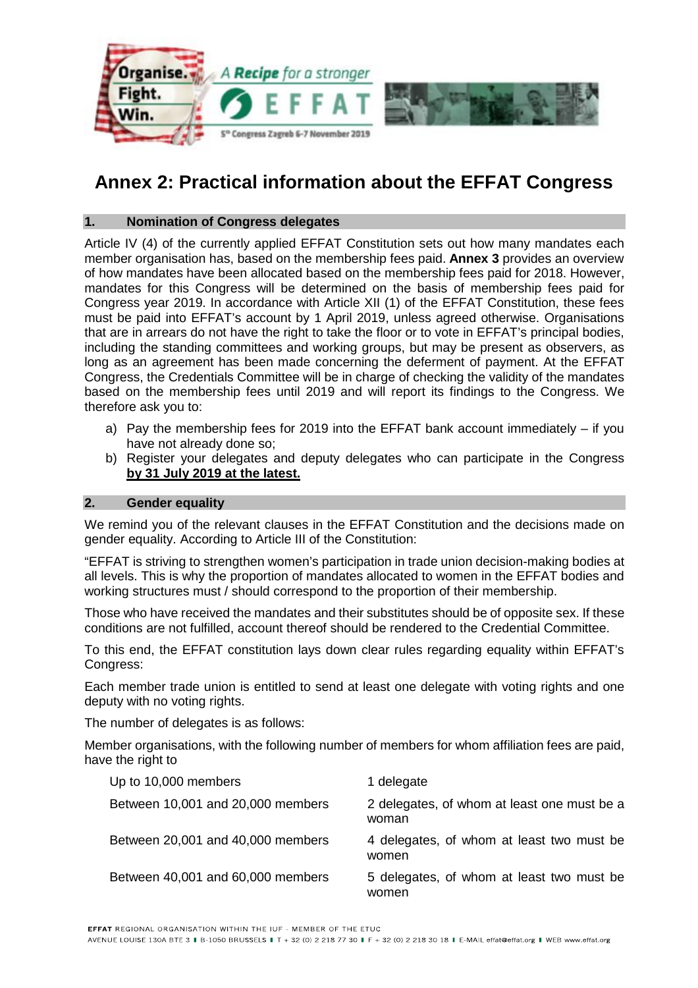

# **Annex 2: Practical information about the EFFAT Congress**

# **1. Nomination of Congress delegates**

Article IV (4) of the currently applied EFFAT Constitution sets out how many mandates each member organisation has, based on the membership fees paid. **Annex 3** provides an overview of how mandates have been allocated based on the membership fees paid for 2018. However, mandates for this Congress will be determined on the basis of membership fees paid for Congress year 2019. In accordance with Article XII (1) of the EFFAT Constitution, these fees must be paid into EFFAT's account by 1 April 2019, unless agreed otherwise. Organisations that are in arrears do not have the right to take the floor or to vote in EFFAT's principal bodies, including the standing committees and working groups, but may be present as observers, as long as an agreement has been made concerning the deferment of payment. At the EFFAT Congress, the Credentials Committee will be in charge of checking the validity of the mandates based on the membership fees until 2019 and will report its findings to the Congress. We therefore ask you to:

- a) Pay the membership fees for 2019 into the EFFAT bank account immediately  $-$  if you have not already done so;
- b) Register your delegates and deputy delegates who can participate in the Congress **by 31 July 2019 at the latest.**

## **2. Gender equality**

We remind you of the relevant clauses in the EFFAT Constitution and the decisions made on gender equality. According to Article III of the Constitution:

"EFFAT is striving to strengthen women's participation in trade union decision-making bodies at all levels. This is why the proportion of mandates allocated to women in the EFFAT bodies and working structures must / should correspond to the proportion of their membership.

Those who have received the mandates and their substitutes should be of opposite sex. If these conditions are not fulfilled, account thereof should be rendered to the Credential Committee.

To this end, the EFFAT constitution lays down clear rules regarding equality within EFFAT's Congress:

Each member trade union is entitled to send at least one delegate with voting rights and one deputy with no voting rights.

The number of delegates is as follows:

Member organisations, with the following number of members for whom affiliation fees are paid, have the right to

| Up to 10,000 members              | 1 delegate                                           |
|-----------------------------------|------------------------------------------------------|
| Between 10,001 and 20,000 members | 2 delegates, of whom at least one must be a<br>woman |
| Between 20,001 and 40,000 members | 4 delegates, of whom at least two must be<br>women   |
| Between 40,001 and 60,000 members | 5 delegates, of whom at least two must be<br>women   |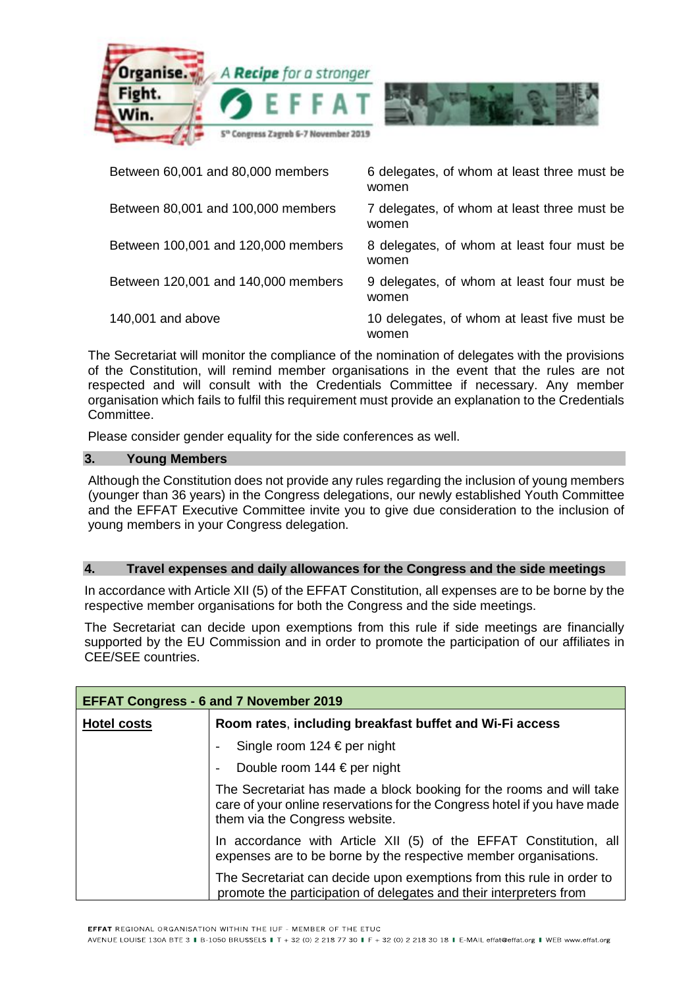

| Between 60,001 and 80,000 members   | 6 delegates, of whom at least three must be<br>women |
|-------------------------------------|------------------------------------------------------|
| Between 80,001 and 100,000 members  | 7 delegates, of whom at least three must be<br>women |
| Between 100,001 and 120,000 members | 8 delegates, of whom at least four must be<br>women  |
| Between 120,001 and 140,000 members | 9 delegates, of whom at least four must be<br>women  |
| 140,001 and above                   | 10 delegates, of whom at least five must be<br>women |

The Secretariat will monitor the compliance of the nomination of delegates with the provisions of the Constitution, will remind member organisations in the event that the rules are not respected and will consult with the Credentials Committee if necessary. Any member organisation which fails to fulfil this requirement must provide an explanation to the Credentials Committee.

Please consider gender equality for the side conferences as well.

# **3. Young Members**

Although the Constitution does not provide any rules regarding the inclusion of young members (younger than 36 years) in the Congress delegations, our newly established Youth Committee and the EFFAT Executive Committee invite you to give due consideration to the inclusion of young members in your Congress delegation.

## **4. Travel expenses and daily allowances for the Congress and the side meetings**

In accordance with Article XII (5) of the EFFAT Constitution, all expenses are to be borne by the respective member organisations for both the Congress and the side meetings.

The Secretariat can decide upon exemptions from this rule if side meetings are financially supported by the EU Commission and in order to promote the participation of our affiliates in CEE/SEE countries.

| <b>EFFAT Congress - 6 and 7 November 2019</b> |                                                                                                                                                                                    |
|-----------------------------------------------|------------------------------------------------------------------------------------------------------------------------------------------------------------------------------------|
| <b>Hotel costs</b>                            | Room rates, including breakfast buffet and Wi-Fi access                                                                                                                            |
|                                               | Single room 124 € per night                                                                                                                                                        |
|                                               | Double room 144 $\in$ per night                                                                                                                                                    |
|                                               | The Secretariat has made a block booking for the rooms and will take<br>care of your online reservations for the Congress hotel if you have made<br>them via the Congress website. |
|                                               | In accordance with Article XII (5) of the EFFAT Constitution, all<br>expenses are to be borne by the respective member organisations.                                              |
|                                               | The Secretariat can decide upon exemptions from this rule in order to<br>promote the participation of delegates and their interpreters from                                        |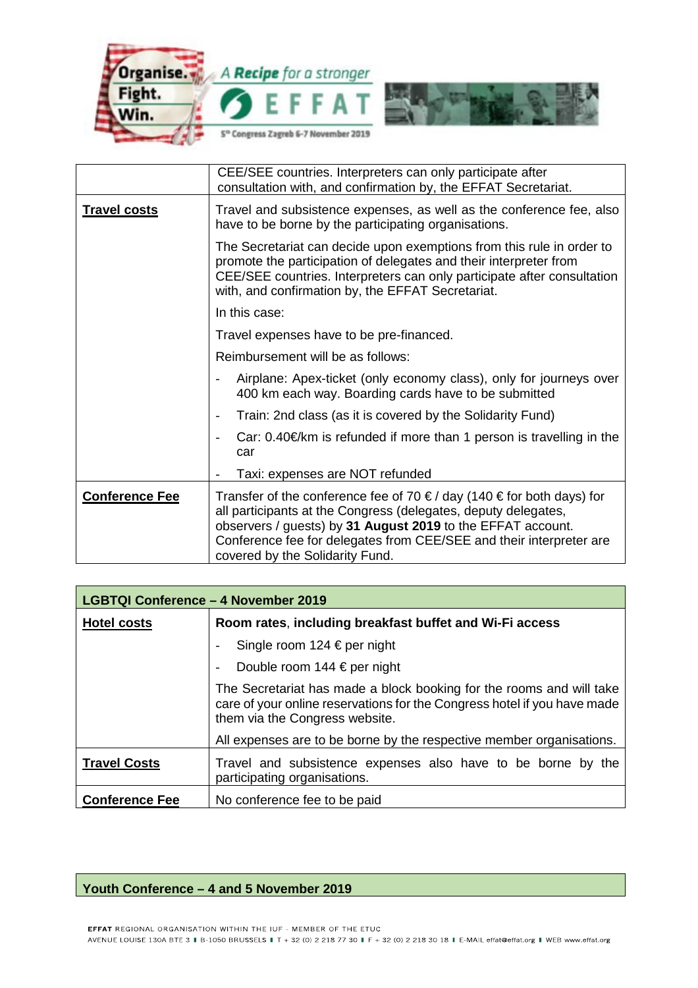

|                       | CEE/SEE countries. Interpreters can only participate after<br>consultation with, and confirmation by, the EFFAT Secretariat.                                                                                                                                                                                     |
|-----------------------|------------------------------------------------------------------------------------------------------------------------------------------------------------------------------------------------------------------------------------------------------------------------------------------------------------------|
| <b>Travel costs</b>   | Travel and subsistence expenses, as well as the conference fee, also<br>have to be borne by the participating organisations.                                                                                                                                                                                     |
|                       | The Secretariat can decide upon exemptions from this rule in order to<br>promote the participation of delegates and their interpreter from<br>CEE/SEE countries. Interpreters can only participate after consultation<br>with, and confirmation by, the EFFAT Secretariat.                                       |
|                       | In this case:                                                                                                                                                                                                                                                                                                    |
|                       | Travel expenses have to be pre-financed.                                                                                                                                                                                                                                                                         |
|                       | Reimbursement will be as follows:                                                                                                                                                                                                                                                                                |
|                       | Airplane: Apex-ticket (only economy class), only for journeys over<br>400 km each way. Boarding cards have to be submitted                                                                                                                                                                                       |
|                       | Train: 2nd class (as it is covered by the Solidarity Fund)<br>-                                                                                                                                                                                                                                                  |
|                       | Car: $0.40 \in \mathbb{R}$ is refunded if more than 1 person is travelling in the<br>car                                                                                                                                                                                                                         |
|                       | Taxi: expenses are NOT refunded                                                                                                                                                                                                                                                                                  |
| <b>Conference Fee</b> | Transfer of the conference fee of 70 €/ day (140 € for both days) for<br>all participants at the Congress (delegates, deputy delegates,<br>observers / guests) by 31 August 2019 to the EFFAT account.<br>Conference fee for delegates from CEE/SEE and their interpreter are<br>covered by the Solidarity Fund. |

| <b>LGBTQI Conference - 4 November 2019</b> |                                                                                                                                                                                    |
|--------------------------------------------|------------------------------------------------------------------------------------------------------------------------------------------------------------------------------------|
| <b>Hotel costs</b>                         | Room rates, including breakfast buffet and Wi-Fi access                                                                                                                            |
|                                            | Single room $124 \text{ E per night}$                                                                                                                                              |
|                                            | Double room 144 $\in$ per night                                                                                                                                                    |
|                                            | The Secretariat has made a block booking for the rooms and will take<br>care of your online reservations for the Congress hotel if you have made<br>them via the Congress website. |
|                                            | All expenses are to be borne by the respective member organisations.                                                                                                               |
| <b>Travel Costs</b>                        | Travel and subsistence expenses also have to be borne by the<br>participating organisations.                                                                                       |
| <b>Conference Fee</b>                      | No conference fee to be paid                                                                                                                                                       |

## **Youth Conference – 4 and 5 November 2019**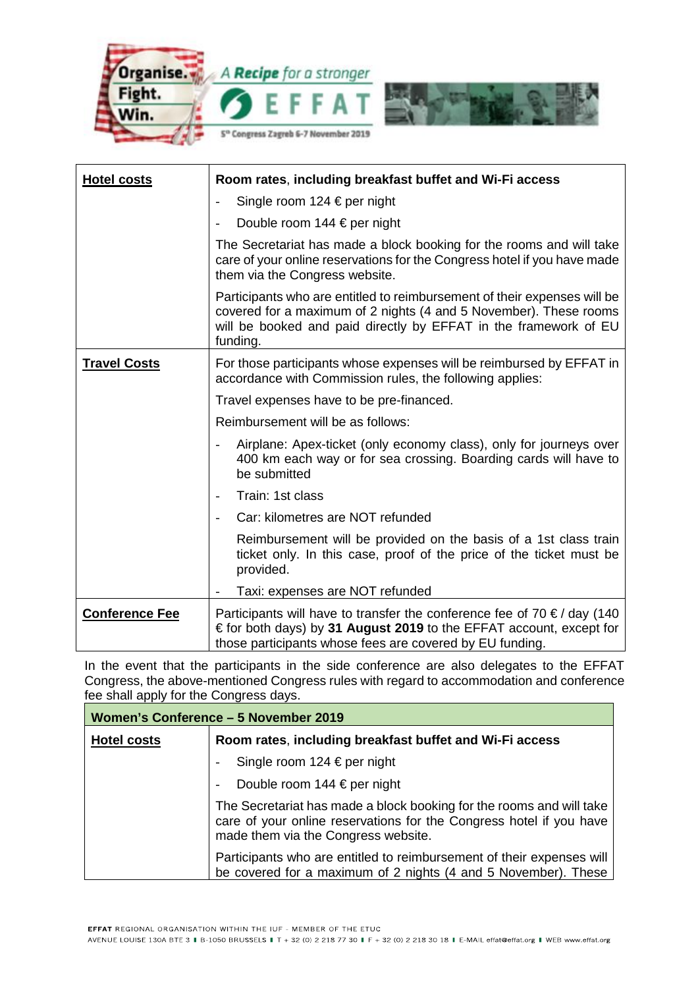

| <b>Hotel costs</b>    | Room rates, including breakfast buffet and Wi-Fi access                                                                                                                                                                       |
|-----------------------|-------------------------------------------------------------------------------------------------------------------------------------------------------------------------------------------------------------------------------|
|                       | Single room 124 € per night                                                                                                                                                                                                   |
|                       | Double room $144 \text{ } \in$ per night                                                                                                                                                                                      |
|                       | The Secretariat has made a block booking for the rooms and will take<br>care of your online reservations for the Congress hotel if you have made<br>them via the Congress website.                                            |
|                       | Participants who are entitled to reimbursement of their expenses will be<br>covered for a maximum of 2 nights (4 and 5 November). These rooms<br>will be booked and paid directly by EFFAT in the framework of EU<br>funding. |
| <b>Travel Costs</b>   | For those participants whose expenses will be reimbursed by EFFAT in<br>accordance with Commission rules, the following applies:                                                                                              |
|                       | Travel expenses have to be pre-financed.                                                                                                                                                                                      |
|                       | Reimbursement will be as follows:                                                                                                                                                                                             |
|                       | Airplane: Apex-ticket (only economy class), only for journeys over<br>400 km each way or for sea crossing. Boarding cards will have to<br>be submitted                                                                        |
|                       | Train: 1st class                                                                                                                                                                                                              |
|                       | Car: kilometres are NOT refunded                                                                                                                                                                                              |
|                       | Reimbursement will be provided on the basis of a 1st class train<br>ticket only. In this case, proof of the price of the ticket must be<br>provided.                                                                          |
|                       | Taxi: expenses are NOT refunded                                                                                                                                                                                               |
| <b>Conference Fee</b> | Participants will have to transfer the conference fee of 70 $\epsilon$ / day (140<br>€ for both days) by 31 August 2019 to the EFFAT account, except for<br>those participants whose fees are covered by EU funding.          |

In the event that the participants in the side conference are also delegates to the EFFAT Congress, the above-mentioned Congress rules with regard to accommodation and conference fee shall apply for the Congress days.

| Women's Conference - 5 November 2019 |                                                                                                                                                                                    |
|--------------------------------------|------------------------------------------------------------------------------------------------------------------------------------------------------------------------------------|
| <b>Hotel costs</b>                   | Room rates, including breakfast buffet and Wi-Fi access                                                                                                                            |
|                                      | Single room 124 € per night                                                                                                                                                        |
|                                      | Double room $144 \text{ E per night}$                                                                                                                                              |
|                                      | The Secretariat has made a block booking for the rooms and will take<br>care of your online reservations for the Congress hotel if you have<br>made them via the Congress website. |
|                                      | Participants who are entitled to reimbursement of their expenses will<br>be covered for a maximum of 2 nights (4 and 5 November). These                                            |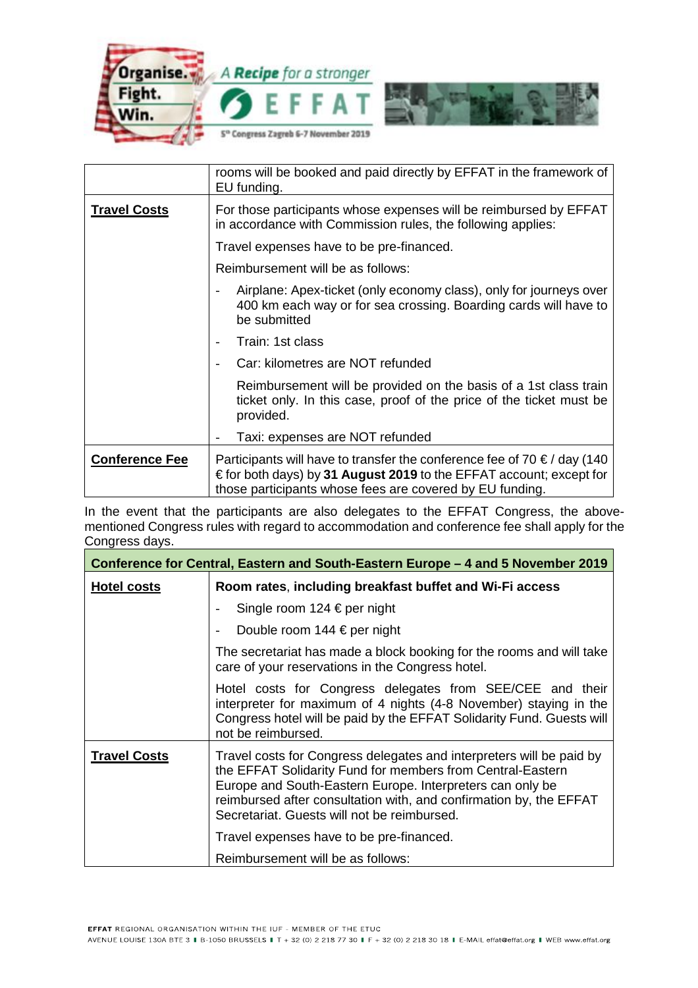

|                       | rooms will be booked and paid directly by EFFAT in the framework of<br>EU funding.                                                                                                                                   |
|-----------------------|----------------------------------------------------------------------------------------------------------------------------------------------------------------------------------------------------------------------|
| <b>Travel Costs</b>   | For those participants whose expenses will be reimbursed by EFFAT<br>in accordance with Commission rules, the following applies:                                                                                     |
|                       | Travel expenses have to be pre-financed.                                                                                                                                                                             |
|                       | Reimbursement will be as follows:                                                                                                                                                                                    |
|                       | Airplane: Apex-ticket (only economy class), only for journeys over<br>400 km each way or for sea crossing. Boarding cards will have to<br>be submitted                                                               |
|                       | Train: 1st class                                                                                                                                                                                                     |
|                       | Car: kilometres are NOT refunded                                                                                                                                                                                     |
|                       | Reimbursement will be provided on the basis of a 1st class train<br>ticket only. In this case, proof of the price of the ticket must be<br>provided.                                                                 |
|                       | Taxi: expenses are NOT refunded                                                                                                                                                                                      |
| <b>Conference Fee</b> | Participants will have to transfer the conference fee of 70 $\epsilon$ / day (140<br>€ for both days) by 31 August 2019 to the EFFAT account; except for<br>those participants whose fees are covered by EU funding. |

In the event that the participants are also delegates to the EFFAT Congress, the abovementioned Congress rules with regard to accommodation and conference fee shall apply for the Congress days.

| Conference for Central, Eastern and South-Eastern Europe – 4 and 5 November 2019 |                                                                                                                                                                                                                                                                                                                                                                  |
|----------------------------------------------------------------------------------|------------------------------------------------------------------------------------------------------------------------------------------------------------------------------------------------------------------------------------------------------------------------------------------------------------------------------------------------------------------|
| <b>Hotel costs</b>                                                               | Room rates, including breakfast buffet and Wi-Fi access                                                                                                                                                                                                                                                                                                          |
|                                                                                  | Single room 124 € per night                                                                                                                                                                                                                                                                                                                                      |
|                                                                                  | Double room 144 $\in$ per night                                                                                                                                                                                                                                                                                                                                  |
|                                                                                  | The secretariat has made a block booking for the rooms and will take<br>care of your reservations in the Congress hotel.                                                                                                                                                                                                                                         |
|                                                                                  | Hotel costs for Congress delegates from SEE/CEE and their<br>interpreter for maximum of 4 nights (4-8 November) staying in the<br>Congress hotel will be paid by the EFFAT Solidarity Fund. Guests will<br>not be reimbursed.                                                                                                                                    |
| <b>Travel Costs</b>                                                              | Travel costs for Congress delegates and interpreters will be paid by<br>the EFFAT Solidarity Fund for members from Central-Eastern<br>Europe and South-Eastern Europe. Interpreters can only be<br>reimbursed after consultation with, and confirmation by, the EFFAT<br>Secretariat. Guests will not be reimbursed.<br>Travel expenses have to be pre-financed. |
|                                                                                  | Reimbursement will be as follows:                                                                                                                                                                                                                                                                                                                                |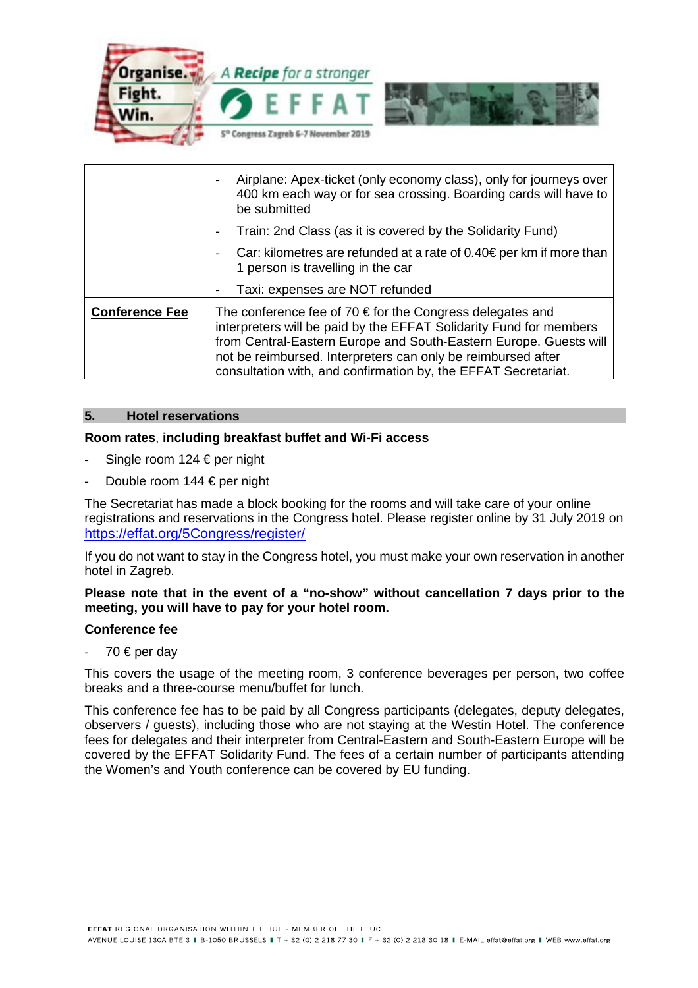

|                       | Airplane: Apex-ticket (only economy class), only for journeys over<br>400 km each way or for sea crossing. Boarding cards will have to<br>be submitted                                                                                                                                                                                          |
|-----------------------|-------------------------------------------------------------------------------------------------------------------------------------------------------------------------------------------------------------------------------------------------------------------------------------------------------------------------------------------------|
|                       | Train: 2nd Class (as it is covered by the Solidarity Fund)                                                                                                                                                                                                                                                                                      |
|                       | Car: kilometres are refunded at a rate of $0.40 \in \text{per km}$ if more than<br>1 person is travelling in the car                                                                                                                                                                                                                            |
|                       | Taxi: expenses are NOT refunded                                                                                                                                                                                                                                                                                                                 |
| <b>Conference Fee</b> | The conference fee of 70 $\epsilon$ for the Congress delegates and<br>interpreters will be paid by the EFFAT Solidarity Fund for members<br>from Central-Eastern Europe and South-Eastern Europe. Guests will<br>not be reimbursed. Interpreters can only be reimbursed after<br>consultation with, and confirmation by, the EFFAT Secretariat. |

## **5. Hotel reservations**

## **Room rates**, **including breakfast buffet and Wi-Fi access**

- Single room 124  $\in$  per night
- Double room 144 € per night

The Secretariat has made a block booking for the rooms and will take care of your online registrations and reservations in the Congress hotel. Please register online by 31 July 2019 on <https://effat.org/5Congress/register/>

If you do not want to stay in the Congress hotel, you must make your own reservation in another hotel in Zagreb.

#### **Please note that in the event of a "no-show" without cancellation 7 days prior to the meeting, you will have to pay for your hotel room.**

#### **Conference fee**

 $-70$  € per day

This covers the usage of the meeting room, 3 conference beverages per person, two coffee breaks and a three-course menu/buffet for lunch.

This conference fee has to be paid by all Congress participants (delegates, deputy delegates, observers / guests), including those who are not staying at the Westin Hotel. The conference fees for delegates and their interpreter from Central-Eastern and South-Eastern Europe will be covered by the EFFAT Solidarity Fund. The fees of a certain number of participants attending the Women's and Youth conference can be covered by EU funding.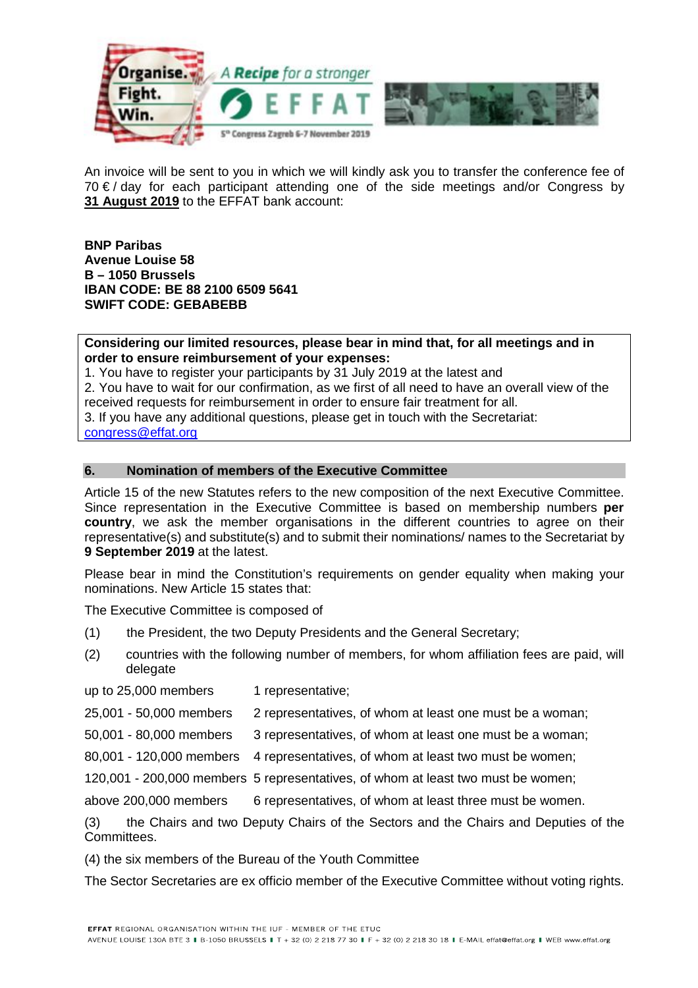

An invoice will be sent to you in which we will kindly ask you to transfer the conference fee of 70 €/ day for each participant attending one of the side meetings and/or Congress by **31 August 2019** to the EFFAT bank account:

**BNP Paribas Avenue Louise 58 B – 1050 Brussels IBAN CODE: BE 88 2100 6509 5641 SWIFT CODE: GEBABEBB** 

**Considering our limited resources, please bear in mind that, for all meetings and in order to ensure reimbursement of your expenses:** 

1. You have to register your participants by 31 July 2019 at the latest and

2. You have to wait for our confirmation, as we first of all need to have an overall view of the received requests for reimbursement in order to ensure fair treatment for all.

3. If you have any additional questions, please get in touch with the Secretariat:

[congress@effat.org](mailto:congress@effat.org)

#### **6. Nomination of members of the Executive Committee**

Article 15 of the new Statutes refers to the new composition of the next Executive Committee. Since representation in the Executive Committee is based on membership numbers **per country**, we ask the member organisations in the different countries to agree on their representative(s) and substitute(s) and to submit their nominations/ names to the Secretariat by **9 September 2019** at the latest.

Please bear in mind the Constitution's requirements on gender equality when making your nominations. New Article 15 states that:

The Executive Committee is composed of

- (1) the President, the two Deputy Presidents and the General Secretary;
- (2) countries with the following number of members, for whom affiliation fees are paid, will delegate
- up to 25,000 members 1 representative;
- 25,001 50,000 members 2 representatives, of whom at least one must be a woman;
- 50,001 80,000 members 3 representatives, of whom at least one must be a woman;
- 80,001 120,000 members 4 representatives, of whom at least two must be women;
- 120,001 200,000 members 5 representatives, of whom at least two must be women;
- above 200,000 members 6 representatives, of whom at least three must be women.

(3) the Chairs and two Deputy Chairs of the Sectors and the Chairs and Deputies of the Committees.

(4) the six members of the Bureau of the Youth Committee

The Sector Secretaries are ex officio member of the Executive Committee without voting rights.